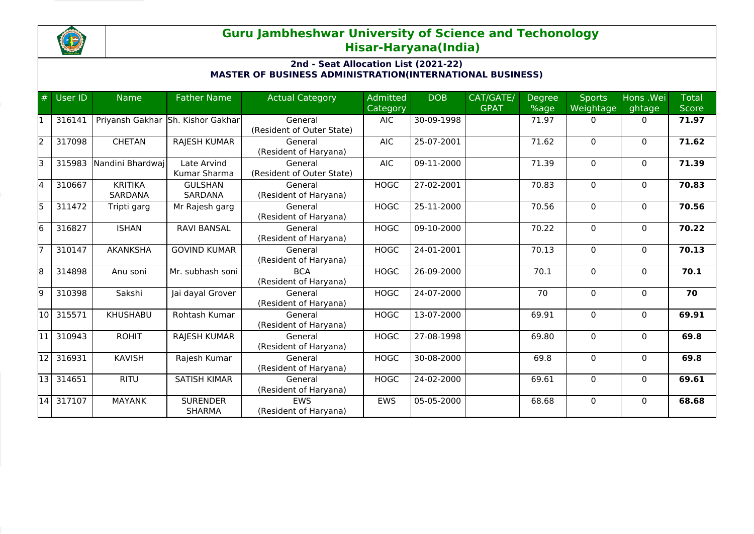

## **Guru Jambheshwar University of Science and Techonology Hisar-Haryana(India)**

## **2nd - Seat Allocation List (2021-22) MASTER OF BUSINESS ADMINISTRATION(INTERNATIONAL BUSINESS)**

|    | $#$ User ID | <b>Name</b>                      | <b>Father Name</b>                | <b>Actual Category</b>               | Admitted<br><b>Category</b> | <b>DOB</b>               | CAT/GATE/<br><b>GPAT</b> | <b>Degree</b><br>%age | <b>Sports</b><br>Weightage | Hons .Wei<br>ghtage | <b>Total</b><br><b>Score</b> |
|----|-------------|----------------------------------|-----------------------------------|--------------------------------------|-----------------------------|--------------------------|--------------------------|-----------------------|----------------------------|---------------------|------------------------------|
|    | 316141      |                                  | Priyansh Gakhar Sh. Kishor Gakhar | General<br>(Resident of Outer State) | <b>AIC</b>                  | 30-09-1998               |                          | 71.97                 | $\Omega$                   | $\Omega$            | 71.97                        |
| l2 | 317098      | <b>CHETAN</b>                    | RAJESH KUMAR                      | General<br>(Resident of Haryana)     | <b>AIC</b>                  | 25-07-2001               |                          | 71.62                 | $\Omega$                   | $\Omega$            | 71.62                        |
| lз | 315983      | Nandini Bhardwai                 | Late Arvind<br>Kumar Sharma       | General<br>(Resident of Outer State) | <b>AIC</b>                  | 09-11-2000               |                          | 71.39                 | $\Omega$                   | $\mathbf{0}$        | 71.39                        |
| l4 | 310667      | <b>KRITIKA</b><br><b>SARDANA</b> | <b>GULSHAN</b><br><b>SARDANA</b>  | General<br>(Resident of Haryana)     | <b>HOGC</b>                 | 27-02-2001               |                          | 70.83                 | $\Omega$                   | $\mathbf{0}$        | 70.83                        |
| l5 | 311472      | Tripti garg                      | Mr Rajesh garg                    | General<br>(Resident of Haryana)     | <b>HOGC</b>                 | 25-11-2000               |                          | 70.56                 | $\Omega$                   | $\mathbf{0}$        | 70.56                        |
| l6 | 316827      | <b>ISHAN</b>                     | <b>RAVI BANSAL</b>                | General<br>(Resident of Haryana)     | <b>HOGC</b>                 | 09-10-2000               |                          | 70.22                 | 0                          | $\mathbf{0}$        | 70.22                        |
|    | 310147      | <b>AKANKSHA</b>                  | <b>GOVIND KUMAR</b>               | General<br>(Resident of Haryana)     | <b>HOGC</b>                 | 24-01-2001               |                          | 70.13                 | $\Omega$                   | $\mathbf{0}$        | 70.13                        |
| 8  | 314898      | Anu soni                         | Mr. subhash soni                  | <b>BCA</b><br>(Resident of Haryana)  | <b>HOGC</b>                 | 26-09-2000               |                          | 70.1                  | 0                          | $\mathbf{0}$        | 70.1                         |
| l9 | 310398      | Sakshi                           | Jai dayal Grover                  | General<br>(Resident of Haryana)     | <b>HOGC</b>                 | 24-07-2000               |                          | 70                    | 0                          | $\mathbf{0}$        | 70                           |
| 10 | 315571      | <b>KHUSHABU</b>                  | Rohtash Kumar                     | General<br>(Resident of Haryana)     | <b>HOGC</b>                 | 13-07-2000               |                          | 69.91                 | $\Omega$                   | $\Omega$            | 69.91                        |
| 11 | 310943      | <b>ROHIT</b>                     | <b>RAJESH KUMAR</b>               | General<br>(Resident of Haryana)     | <b>HOGC</b>                 | 27-08-1998               |                          | 69.80                 | $\Omega$                   | $\mathbf{0}$        | 69.8                         |
| 12 | 316931      | <b>KAVISH</b>                    | Rajesh Kumar                      | General<br>(Resident of Haryana)     | <b>HOGC</b>                 | 30-08-2000               |                          | 69.8                  | $\Omega$                   | $\mathbf{0}$        | 69.8                         |
|    | 13 314651   | <b>RITU</b>                      | <b>SATISH KIMAR</b>               | General<br>(Resident of Haryana)     | <b>HOGC</b>                 | 24-02-2000               |                          | 69.61                 | 0                          | $\mathbf{0}$        | 69.61                        |
|    | 14 317107   | <b>MAYANK</b>                    | <b>SURENDER</b><br><b>SHARMA</b>  | <b>FWS</b><br>(Resident of Haryana)  | <b>EWS</b>                  | $\overline{0}$ 5-05-2000 |                          | 68.68                 | $\Omega$                   | $\Omega$            | 68.68                        |